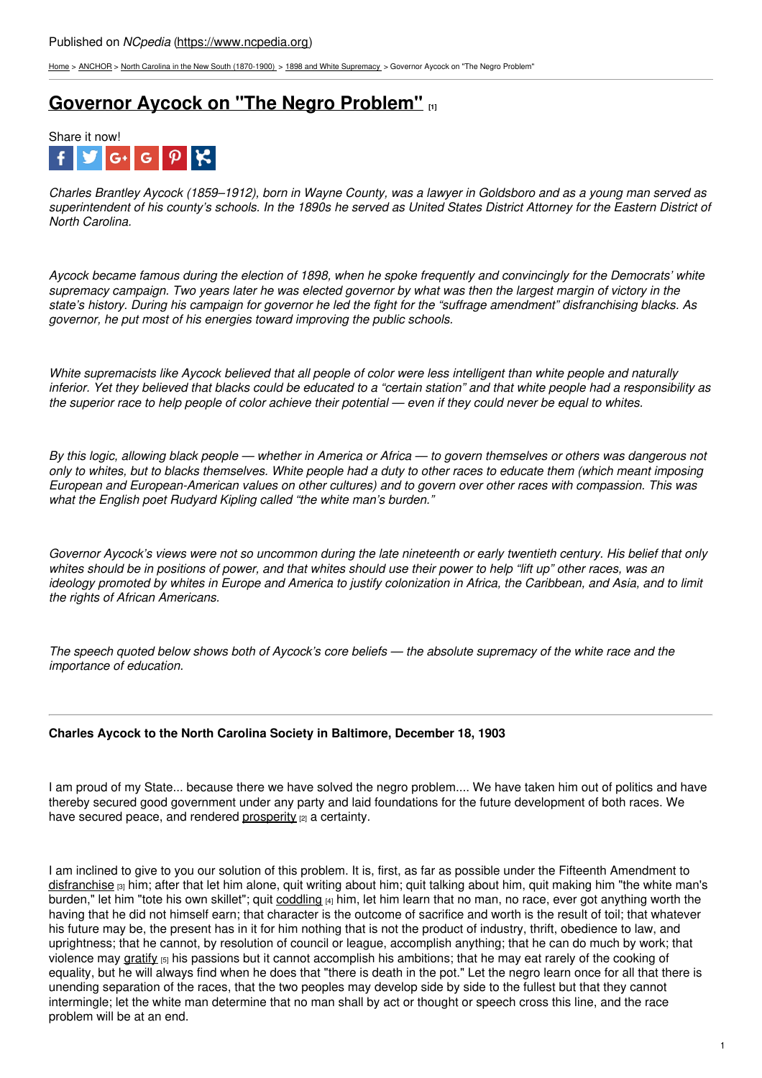[Home](https://www.ncpedia.org/) > [ANCHOR](https://www.ncpedia.org/anchor/anchor) > North Carolina in the New South [\(1870-1900\)](https://www.ncpedia.org/anchor/north-carolina-new-south) > 1898 and White [Supremacy](https://www.ncpedia.org/anchor/1898-and-white-supremacy) > Governor Aycock on "The Negro Problem"

# **[Governor](https://www.ncpedia.org/anchor/governor-aycock-negro) Aycock on "The Negro Problem" [1]**



Charles Brantley Aycock (1859–1912), born in Wayne County, was a lawyer in Goldsboro and as a young man served as superintendent of his county's schools. In the 1890s he served as United States District Attorney for the Eastern District of *North Carolina.*

Aycock became famous during the election of 1898, when he spoke frequently and convincingly for the Democrats' white supremacy campaign. Two years later he was elected governor by what was then the largest margin of victory in the state's history. During his campaign for governor he led the fight for the "suffrage amendment" disfranchising blacks. As *governor, he put most of his energies toward improving the public schools.*

White supremacists like Aycock believed that all people of color were less intelligent than white people and naturally inferior. Yet they believed that blacks could be educated to a "certain station" and that white people had a responsibility as the superior race to help people of color achieve their potential — even if they could never be equal to whites.

By this logic, allowing black people — whether in America or Africa — to govern themselves or others was dangerous not only to whites, but to blacks themselves. White people had a duty to other races to educate them (which meant imposing European and European-American values on other cultures) and to govern over other races with compassion. This was *what the English poet Rudyard Kipling called "the white man's burden."*

Governor Aycock's views were not so uncommon during the late nineteenth or early twentieth century. His belief that only whites should be in positions of power, and that whites should use their power to help "lift up" other races, was an ideology promoted by whites in Europe and America to justify colonization in Africa, the Caribbean, and Asia, and to limit *the rights of African Americans.*

The speech quoted below shows both of Aycock's core beliefs — the absolute supremacy of the white race and the *importance of education.*

# **Charles Aycock to the North Carolina Society in Baltimore, December 18, 1903**

I am proud of my State... because there we have solved the negro problem.... We have taken him out of politics and have thereby secured good government under any party and laid foundations for the future development of both races. We have secured peace, and rendered [prosperity](https://www.ncpedia.org/glossary/prosperity) [2] a certainty.

I am inclined to give to you our solution of this problem. It is, first, as far as possible under the Fifteenth Amendment to [disfranchise](https://www.ncpedia.org/glossary/disfranchise) [3] him; after that let him alone, quit writing about him; quit talking about him, quit making him "the white man's burden," let him "tote his own skillet"; quit [coddling](https://www.ncpedia.org/glossary/coddle) [4] him, let him learn that no man, no race, ever got anything worth the having that he did not himself earn; that character is the outcome of sacrifice and worth is the result of toil; that whatever his future may be, the present has in it for him nothing that is not the product of industry, thrift, obedience to law, and uprightness; that he cannot, by resolution of council or league, accomplish anything; that he can do much by work; that violence may [gratify](https://www.ncpedia.org/glossary/gratify)  $[5]$  his passions but it cannot accomplish his ambitions; that he may eat rarely of the cooking of equality, but he will always find when he does that "there is death in the pot." Let the negro learn once for all that there is unending separation of the races, that the two peoples may develop side by side to the fullest but that they cannot intermingle; let the white man determine that no man shall by act or thought or speech cross this line, and the race problem will be at an end.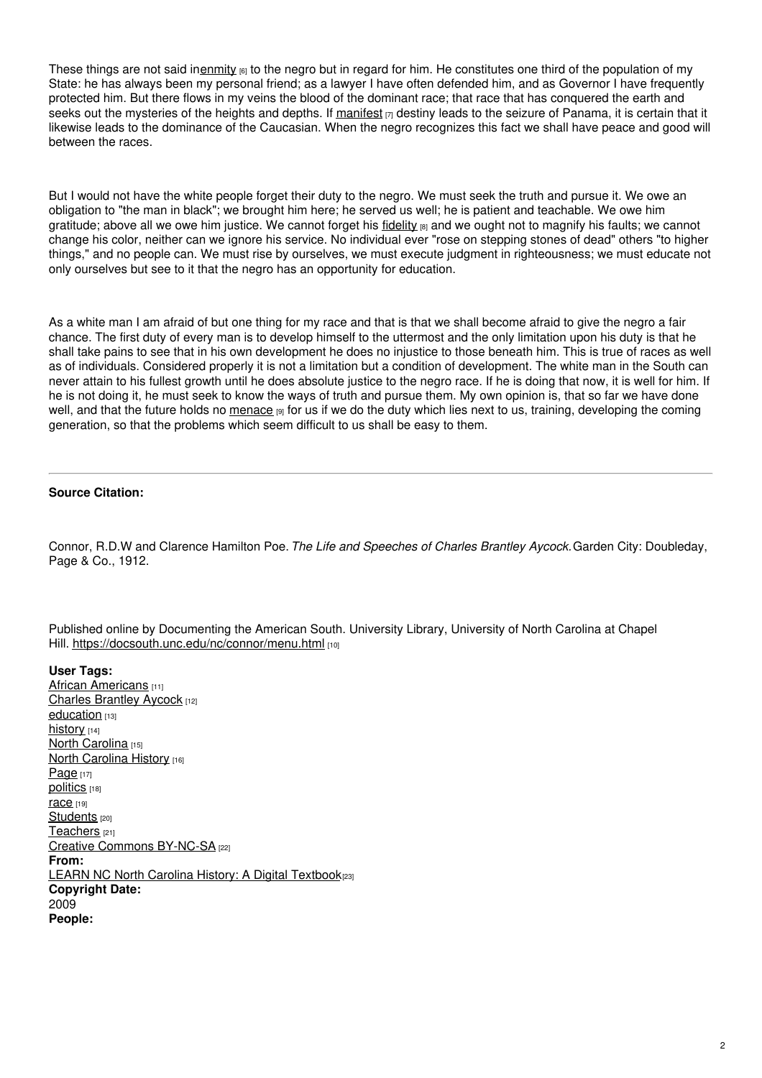These things are not said in[enmity](https://www.ncpedia.org/glossary/enmity)  $\epsilon_0$  to the negro but in regard for him. He constitutes one third of the population of my State: he has always been my personal friend; as a lawyer I have often defended him, and as Governor I have frequently protected him. But there flows in my veins the blood of the dominant race; that race that has conquered the earth and seeks out the mysteries of the heights and depths. If [manifest](https://www.ncpedia.org/glossary/manifest)  $[7]$  destiny leads to the seizure of Panama, it is certain that it likewise leads to the dominance of the Caucasian. When the negro recognizes this fact we shall have peace and good will between the races.

But I would not have the white people forget their duty to the negro. We must seek the truth and pursue it. We owe an obligation to "the man in black"; we brought him here; he served us well; he is patient and teachable. We owe him gratitude; above all we owe him justice. We cannot forget his  $f_{\text{d}}$  and we ought not to magnify his faults; we cannot change his color, neither can we ignore his service. No individual ever "rose on stepping stones of dead" others "to higher things," and no people can. We must rise by ourselves, we must execute judgment in righteousness; we must educate not only ourselves but see to it that the negro has an opportunity for education.

As a white man I am afraid of but one thing for my race and that is that we shall become afraid to give the negro a fair chance. The first duty of every man is to develop himself to the uttermost and the only limitation upon his duty is that he shall take pains to see that in his own development he does no injustice to those beneath him. This is true of races as well as of individuals. Considered properly it is not a limitation but a condition of development. The white man in the South can never attain to his fullest growth until he does absolute justice to the negro race. If he is doing that now, it is well for him. If he is not doing it, he must seek to know the ways of truth and pursue them. My own opinion is, that so far we have done well, and that the future holds no [menace](https://www.ncpedia.org/glossary/menace)  $[9]$  for us if we do the duty which lies next to us, training, developing the coming generation, so that the problems which seem difficult to us shall be easy to them.

### **Source Citation:**

Connor, R.D.W and Clarence Hamilton Poe.*The Life and Speeches of Charles Brantley Aycock.*Garden City: Doubleday, Page & Co., 1912.

Published online by Documenting the American South. University Library, University of North Carolina at Chapel Hill. <https://docsouth.unc.edu/nc/connor/menu.html> [10]

**User Tags:** African [Americans](https://www.ncpedia.org/category/user-tags/african-american) [11] Charles [Brantley](https://www.ncpedia.org/category/user-tags/charles-brantley) Aycock [12] [education](https://www.ncpedia.org/category/user-tags/education) [13] [history](https://www.ncpedia.org/category/user-tags/history) [14] North [Carolina](https://www.ncpedia.org/category/user-tags/north-carolina-5) [15] **North [Carolina](https://www.ncpedia.org/category/user-tags/north-carolina-6) History [16]**  $Page$  [17] [politics](https://www.ncpedia.org/category/user-tags/politics) [18] [race](https://www.ncpedia.org/category/user-tags/race) [19] [Students](https://www.ncpedia.org/category/user-tags/students) [20] [Teachers](https://www.ncpedia.org/category/user-tags/teachers) [21] Creative Commons [BY-NC-SA](https://www.ncpedia.org/category/user-tags/creative-commons) [22] **From:** LEARN NC North Carolina History: A Digital [Textbook](https://www.ncpedia.org/category/entry-source/learn-nc)<sup>[23]</sup> **Copyright Date:** 2009 **People:**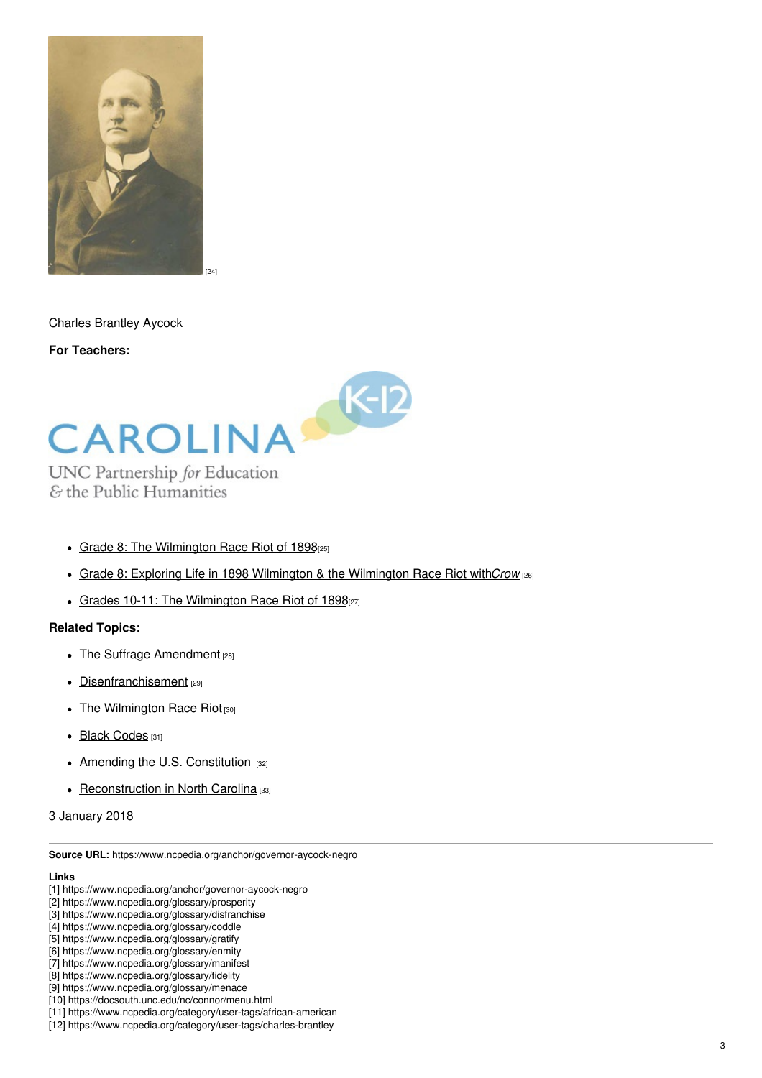

Charles Brantley Aycock

**For Teachers:**



UNC Partnership for Education & the Public Humanities

- Grade 8: The [Wilmington](https://database.civics.unc.edu/wp-content/uploads/sites/31/2012/04/WilmingtonRaceRiot8.pdf) Race Riot of 1898<sub>[25]</sub>
- Grade 8: Exploring Life in 1898 Wilmington & the [Wilmington](https://database.civics.unc.edu/wp-content/uploads/sites/31/2013/05/1898Crow.pdf) Race Riot with*Crow* [26]
- Grades 10-11: The [Wilmington](https://database.civics.unc.edu/wp-content/uploads/sites/31/2012/05/WilmingtonRaceRiot3.pdf) Race Riot of 1898<sup>[27]</sup>

# **Related Topics:**

- The Suffrage [Amendment](https://www.ncpedia.org/anchor/suffrage-amendment) [28]
- [Disenfranchisement](https://www.ncpedia.org/disfranchisement) [29]
- The [Wilmington](https://www.ncpedia.org/anchor/wilmington-coup) Race Riot [30]
- Black [Codes](https://www.ncpedia.org/anchor/black-codes-1866) [31]
- Amending the U.S. [Constitution](https://www.ncpedia.org/anchor/amending-us-constitution) [32]
- [Reconstruction](https://www.ncpedia.org/anchor/reconstruction-north) in North Carolina [33]
- 3 January 2018

**Source URL:** https://www.ncpedia.org/anchor/governor-aycock-negro

#### **Links**

- [6] https://www.ncpedia.org/glossary/enmity
- [7] https://www.ncpedia.org/glossary/manifest

- [9] https://www.ncpedia.org/glossary/menace
- [10] https://docsouth.unc.edu/nc/connor/menu.html
- [11] https://www.ncpedia.org/category/user-tags/african-american
- [12] https://www.ncpedia.org/category/user-tags/charles-brantley

<sup>[1]</sup> https://www.ncpedia.org/anchor/governor-aycock-negro

<sup>[2]</sup> https://www.ncpedia.org/glossary/prosperity

<sup>[3]</sup> https://www.ncpedia.org/glossary/disfranchise

<sup>[4]</sup> https://www.ncpedia.org/glossary/coddle

<sup>[5]</sup> https://www.ncpedia.org/glossary/gratify

<sup>[8]</sup> https://www.ncpedia.org/glossary/fidelity